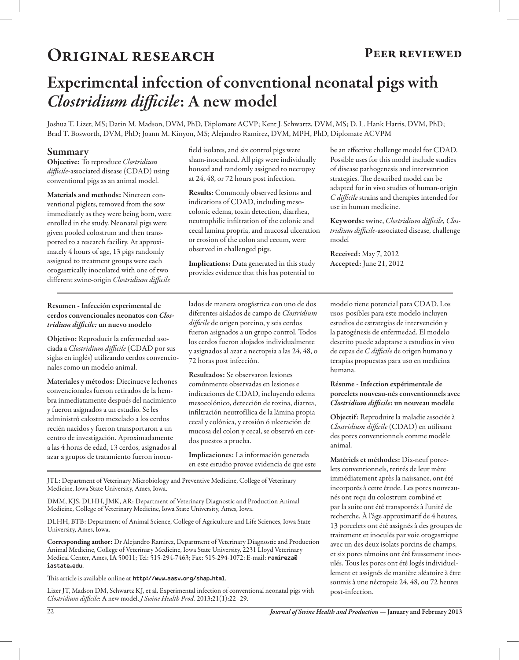## ORIGINAL RESEARCH PEER REVIEWED

# Experimental infection of conventional neonatal pigs with *Clostridium difficile*: A new model

Joshua T. Lizer, MS; Darin M. Madson, DVM, PhD, Diplomate ACVP; Kent J. Schwartz, DVM, MS; D. L. Hank Harris, DVM, PhD; Brad T. Bosworth, DVM, PhD; Joann M. Kinyon, MS; Alejandro Ramirez, DVM, MPH, PhD, Diplomate ACVPM

## Summary

Objective: To reproduce *Clostridium difficile*-associated disease (CDAD) using conventional pigs as an animal model.

Materials and methods: Nineteen conventional piglets, removed from the sow immediately as they were being born, were enrolled in the study. Neonatal pigs were given pooled colostrum and then transported to a research facility. At approximately 4 hours of age, 13 pigs randomly assigned to treatment groups were each orogastrically inoculated with one of two different swine-origin *Clostridium difficile*

field isolates, and six control pigs were sham-inoculated. All pigs were individually housed and randomly assigned to necropsy at 24, 48, or 72 hours post infection.

Results: Commonly observed lesions and indications of CDAD, including mesocolonic edema, toxin detection, diarrhea, neutrophilic infiltration of the colonic and cecal lamina propria, and mucosal ulceration or erosion of the colon and cecum, were observed in challenged pigs.

Implications: Data generated in this study provides evidence that this has potential to

be an effective challenge model for CDAD. Possible uses for this model include studies of disease pathogenesis and intervention strategies. The described model can be adapted for in vivo studies of human-origin *C difficile* strains and therapies intended for use in human medicine.

Keywords: swine, *Clostridium difficile*, *Clostridium difficile*-associated disease, challenge model

Received: May 7, 2012 Accepted: June 21, 2012

#### Resumen - Infección experimental de cerdos convencionales neonatos con *Clostridium difficile:* un nuevo modelo

Objetivo: Reproducir la enfermedad asociada a *Clostridium difficile* (CDAD por sus siglas en inglés) utilizando cerdos convencionales como un modelo animal.

Materiales y métodos: Diecinueve lechones convencionales fueron retirados de la hembra inmediatamente después del nacimiento y fueron asignados a un estudio. Se les administró calostro mezclado a los cerdos recién nacidos y fueron transportaron a un centro de investigación. Aproximadamente a las 4 horas de edad, 13 cerdos, asignados al azar a grupos de tratamiento fueron inocu-

lados de manera orogástrica con uno de dos diferentes aislados de campo de *Clostridium difficile* de origen porcino, y seis cerdos fueron asignados a un grupo control. Todos los cerdos fueron alojados individualmente y asignados al azar a necropsia a las 24, 48, o 72 horas post infección.

Resultados: Se observaron lesiones comúnmente observadas en lesiones e indicaciones de CDAD, incluyendo edema mesocolónico, detección de toxina, diarrea, infiltración neutrofílica de la lámina propia cecal y colónica, y erosión ó ulceración de mucosa del colon y cecal, se observó en cerdos puestos a prueba.

Implicaciones: La información generada en este estudio provee evidencia de que este

JTL: Department of Veterinary Microbiology and Preventive Medicine, College of Veterinary Medicine, Iowa State University, Ames, Iowa.

DMM, KJS, DLHH, JMK, AR: Department of Veterinary Diagnostic and Production Animal Medicine, College of Veterinary Medicine, Iowa State University, Ames, Iowa.

DLHH, BTB: Department of Animal Science, College of Agriculture and Life Sciences, Iowa State University, Ames, Iowa.

Corresponding author: Dr Alejandro Ramirez, Department of Veterinary Diagnostic and Production Animal Medicine, College of Veterinary Medicine, Iowa State University, 2231 Lloyd Veterinary Medical Center, Ames, IA 50011; Tel: 515-294-7463; Fax: 515-294-1072: E-mail: ramireza@ iastate.edu.

This article is available online at http://www.aasv.org/shap.html.

Lizer JT, Madson DM, Schwartz KJ, et al. Experimental infection of conventional neonatal pigs with *Clostridium difficile*: A new model. *J Swine Health Prod.* 2013;21(1):22–29.

modelo tiene potencial para CDAD. Los usos posibles para este modelo incluyen estudios de estrategias de intervención y la patogénesis de enfermedad. El modelo descrito puede adaptarse a estudios in vivo de cepas de *C difficile* de origen humano y terapias propuestas para uso en medicina humana.

#### Résume - Infection expérimentale de porcelets nouveau-nés conventionnels avec *Clostridium difficile*: un nouveau modèle

Objectif: Reproduire la maladie associée à *Clostridium difficile* (CDAD) en utilisant des porcs conventionnels comme modèle animal.

Matériels et méthodes: Dix-neuf porcelets conventionnels, retirés de leur mère immédiatement après la naissance, ont été incorporés à cette étude. Les porcs nouveaunés ont reçu du colostrum combiné et par la suite ont été transportés à l'unité de recherche. À l'âge approximatif de 4 heures, 13 porcelets ont été assignés à des groupes de traitement et inoculés par voie orogastrique avec un des deux isolats porcins de champs, et six porcs témoins ont été faussement inoculés. Tous les porcs ont été logés individuellement et assignés de manière aléatoire à être soumis à une nécropsie 24, 48, ou 72 heures post-infection.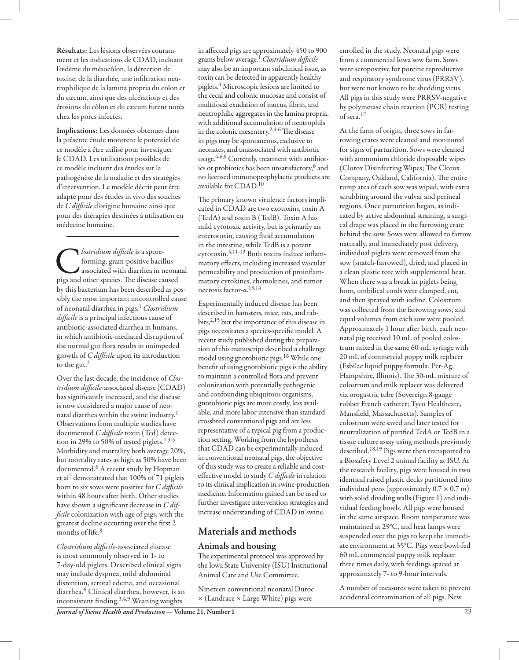Implications: Les données obtenues dans la présente étude montrent le potentiel de ce modèle à être utilisé pour investiguer le CDAD. Les utilisations possibles de ce modèle incluent des études sur la pathogénèse de la maladie et des stratégies d'intervention. Le modèle décrit peut être adapté pour des études in vivo des souches de *C difficile* d'origine humaine ainsi que pour des thérapies destinées à utilisation en médecine humaine.

**C** *lostridium difficile* is a spore-<br>forming, gram-positive bacillus<br>associated with diarrhea in neona<br>pigs and other species. The disease caused forming, gram-positive bacillus associated with diarrhea in neonatal by this bacterium has been described as possibly the most important uncontrolled cause of neonatal diarrhea in pigs.1 *Clostridium difficile* is a principal infectious cause of antibiotic-associated diarrhea in humans, in which antibiotic-mediated disruption of the normal gut flora results in unimpeded growth of *C difficile* upon its introduction to the gut. $<sup>2</sup>$ </sup>

Over the last decade, the incidence of *Clostridium difficile*-associated disease (CDAD) has significantly increased, and the disease is now considered a major cause of neonatal diarrhea within the swine industry.<sup>1</sup> Observations from multiple studies have documented *C difficile* toxin (Tcd) detection in 29% to 50% of tested piglets. $1,3-5$ Morbidity and mortality both average 20%, but mortality rates as high as 50% have been documented.6 A recent study by Hopman et al7 demonstrated that 100% of 71 piglets born to six sows were positive for *C difficile* within 48 hours after birth. Other studies have shown a significant decrease in *C difficile* colonization with age of pigs, with the greatest decline occurring over the first 2 months of life.8

*Clostridium difficile*-associated disease is most commonly observed in 1- to 7-day-old piglets. Described clinical signs may include dyspnea, mild abdominal distention, scrotal edema, and occasional diarrhea.6 Clinical diarrhea, however, is an inconsistent finding.3,4,9 Weaning weights

in affected pigs are approximately 450 to 900 grams below average.1 *Clostridium difficile* may also be an important subclinical issue, as toxin can be detected in apparently healthy piglets.4 Microscopic lesions are limited to the cecal and colonic mucosae and consist of multifocal exudation of mucus, fibrin, and neutrophilic aggregates in the lamina propria, with additional accumulation of neutrophils in the colonic mesentery.2,4-6 The disease in pigs may be spontaneous, exclusive to neonates, and unassociated with antibiotic usage.<sup>4-6,9</sup> Currently, treatment with antibiotics or probiotics has been unsatisfactory,<sup>6</sup> and no licensed immunoprophylactic products are available for CDAD.10

The primary known virulence factors implicated in CDAD are two exotoxins, toxin A (TcdA) and toxin B (TcdB). Toxin A has mild cytotoxic activity, but is primarily an enterotoxin, causing fluid accumulation in the intestine, while TcdB is a potent cytotoxin.4,11-13 Both toxins induce inflammatory effects, including increased vascular permeability and production of proinflammatory cytokines, chemokines, and tumor necrosis factor-α.13,14

Experimentally induced disease has been described in hamsters, mice, rats, and rabbits,2,15 but the importance of this disease in pigs necessitates a species-specific model. A recent study published during the preparation of this manuscript described a challenge model using gnotobiotic pigs.16 While one benefit of using gnotobiotic pigs is the ability to maintain a controlled flora and prevent colonization with potentially pathogenic and confounding ubiquitous organisms, gnotobiotic pigs are more costly, less available, and more labor intensive than standard crossbred conventional pigs and are less representative of a typical pig from a production setting. Working from the hypothesis that CDAD can be experimentally induced in conventional neonatal pigs, the objective of this study was to create a reliable and costeffective model to study *C difficile* in relation to its clinical implication in swine-production medicine. Information gained can be used to further investigate intervention strategies and increase understanding of CDAD in swine.

## Materials and methods

## Animals and housing

The experimental protocol was approved by the Iowa State University (ISU) Institutional Animal Care and Use Committee.

Nineteen conventional neonatal Duroc × (Landrace × Large White) pigs were

enrolled in the study. Neonatal pigs were from a commercial Iowa sow farm. Sows were seropositive for porcine reproductive and respiratory syndrome virus (PRRSV), but were not known to be shedding virus. All pigs in this study were PRRSV-negative by polymerase chain reaction (PCR) testing of sera.17

At the farm of origin, three sows in farrowing crates were cleaned and monitored for signs of parturition. Sows were cleaned with ammonium chloride disposable wipes (Clorox Disinfecting Wipes; The Clorox Company, Oakland, California). The entire rump area of each sow was wiped, with extra scrubbing around the vulvar and perineal regions. Once parturition began, as indicated by active abdominal straining, a surgical drape was placed in the farrowing crate behind the sow. Sows were allowed to farrow naturally, and immediately post delivery, individual piglets were removed from the sow (snatch-farrowed), dried, and placed in a clean plastic tote with supplemental heat. When there was a break in piglets being born, umbilical cords were clamped, cut, and then sprayed with iodine. Colostrum was collected from the farrowing sows, and equal volumes from each sow were pooled. Approximately 1 hour after birth, each neonatal pig received 10 mL of pooled colostrum mixed in the same 60-mL syringe with 20 mL of commercial puppy milk replacer (Esbilac liquid puppy formula; Pet-Ag, Hampshire, Illinois). The 30-mL mixture of colostrum and milk replacer was delivered via orogastric tube (Sovereign 8-gauge rubber French catheter; Tyco Healthcare, Mansfield, Massachusetts). Samples of colostrum were saved and later tested for neutralization of purified TcdA or TcdB in a tissue culture assay using methods previously described.18,19 Pigs were then transported to a Biosafety Level 2 animal facility at ISU. At the research facility, pigs were housed in two identical raised plastic decks partitioned into individual pens (approximately  $0.7 \times 0.7$  m) with solid dividing walls (Figure 1) and individual feeding bowls. All pigs were housed in the same airspace. Room temperature was maintained at 29°C, and heat lamps were suspended over the pigs to keep the immediate environment at 35°C. Pigs were bowl-fed 60 mL commercial puppy milk replacer three times daily, with feedings spaced at approximately 7- to 9-hour intervals.

A number of measures were taken to prevent accidental contamination of all pigs. New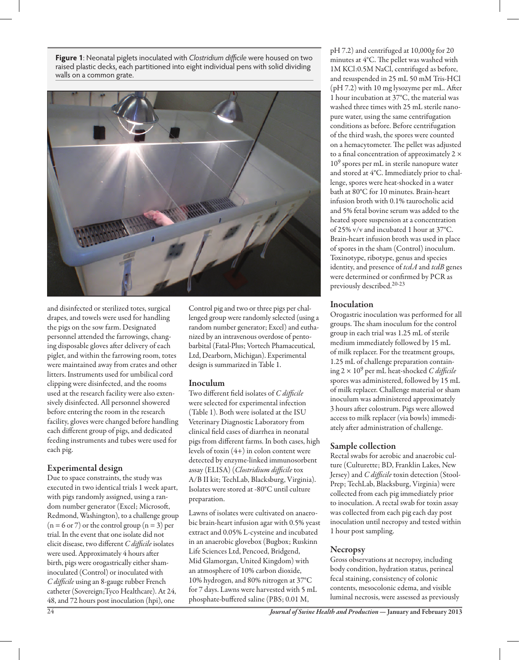**Figure 1**: Neonatal piglets inoculated with *Clostridium difficile* were housed on two raised plastic decks, each partitioned into eight individual pens with solid dividing walls on a common grate.



and disinfected or sterilized totes, surgical drapes, and towels were used for handling the pigs on the sow farm. Designated personnel attended the farrowings, changing disposable gloves after delivery of each piglet, and within the farrowing room, totes were maintained away from crates and other litters. Instruments used for umbilical cord clipping were disinfected, and the rooms used at the research facility were also extensively disinfected. All personnel showered before entering the room in the research facility, gloves were changed before handling each different group of pigs, and dedicated feeding instruments and tubes were used for each pig.

#### Experimental design

Due to space constraints, the study was executed in two identical trials 1 week apart, with pigs randomly assigned, using a random number generator (Excel; Microsoft, Redmond, Washington), to a challenge group  $(n = 6 \text{ or } 7)$  or the control group  $(n = 3)$  per trial. In the event that one isolate did not elicit disease, two different *C difficile* isolates were used. Approximately 4 hours after birth, pigs were orogastrically either shaminoculated (Control) or inoculated with *C difficile* using an 8-gauge rubber French catheter (Sovereign;Tyco Healthcare). At 24, 48, and 72 hours post inoculation (hpi), one

Control pig and two or three pigs per challenged group were randomly selected (using a random number generator; Excel) and euthanized by an intravenous overdose of pentobarbital (Fatal-Plus; Vortech Phamaceutical, Ltd, Dearborn, Michigan). Experimental design is summarized in Table 1.

#### Inoculum

Two different field isolates of *C difficile* were selected for experimental infection (Table 1). Both were isolated at the ISU Veterinary Diagnostic Laboratory from clinical field cases of diarrhea in neonatal pigs from different farms. In both cases, high levels of toxin (4+) in colon content were detected by enzyme-linked immunosorbent assay (ELISA) (*Clostridium difficile* tox A/B II kit; TechLab, Blacksburg, Virginia). Isolates were stored at -80°C until culture preparation.

Lawns of isolates were cultivated on anaerobic brain-heart infusion agar with 0.5% yeast extract and 0.05% L-cysteine and incubated in an anaerobic glovebox (Bugbox; Ruskinn Life Sciences Ltd, Pencoed, Bridgend, Mid Glamorgan, United Kingdom) with an atmosphere of 10% carbon dioxide, 10% hydrogen, and 80% nitrogen at 37°C for 7 days. Lawns were harvested with 5 mL phosphate-buffered saline (PBS; 0.01 M,

pH 7.2) and centrifuged at 10,000*g* for 20 minutes at 4°C. The pellet was washed with 1M KCl:0.5M NaCl, centrifuged as before, and resuspended in 25 mL 50 mM Tris-HCl (pH 7.2) with 10 mg lysozyme per mL. After 1 hour incubation at 37°C, the material was washed three times with 25 mL sterile nanopure water, using the same centrifugation conditions as before. Before centrifugation of the third wash, the spores were counted on a hemacytometer. The pellet was adjusted to a final concentration of approximately 2 × 109 spores per mL in sterile nanopure water and stored at 4°C. Immediately prior to challenge, spores were heat-shocked in a water bath at 80°C for 10 minutes. Brain-heart infusion broth with 0.1% taurocholic acid and 5% fetal bovine serum was added to the heated spore suspension at a concentration of 25% v/v and incubated 1 hour at 37°C. Brain-heart infusion broth was used in place of spores in the sham (Control) inoculum. Toxinotype, ribotype, genus and species identity, and presence of *tcdA* and *tcdB* genes were determined or confirmed by PCR as previously described.20-23

#### Inoculation

Orogastric inoculation was performed for all groups. The sham inoculum for the control group in each trial was 1.25 mL of sterile medium immediately followed by 15 mL of milk replacer. For the treatment groups, 1.25 mL of challenge preparation containing 2 × 109 per mL heat-shocked *C difficile* spores was administered, followed by 15 mL of milk replacer. Challenge material or sham inoculum was administered approximately 3 hours after colostrum. Pigs were allowed access to milk replacer (via bowls) immediately after administration of challenge.

## Sample collection

Rectal swabs for aerobic and anaerobic culture (Culturette; BD, Franklin Lakes, New Jersey) and *C difficile* toxin detection (Stool-Prep; TechLab, Blacksburg, Virginia) were collected from each pig immediately prior to inoculation. A rectal swab for toxin assay was collected from each pig each day post inoculation until necropsy and tested within 1 hour post sampling.

## **Necropsy**

Gross observations at necropsy, including body condition, hydration status, perineal fecal staining, consistency of colonic contents, mesocolonic edema, and visible luminal necrosis, were assessed as previously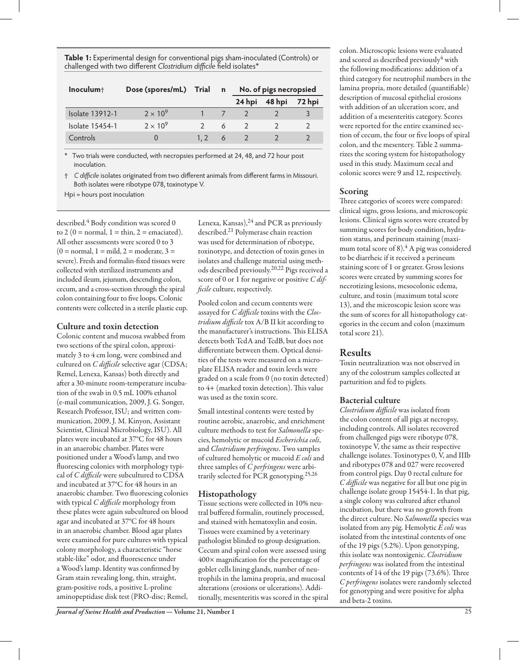**Table 1:** Experimental design for conventional pigs sham-inoculated (Controls) or challenged with two different *Clostridium difficile* field isolates\*

| Inoculum <sub>†</sub>  | Dose (spores/mL) Trial |                  | $\mathbf n$ | No. of pigs necropsied |        |        |  |  |
|------------------------|------------------------|------------------|-------------|------------------------|--------|--------|--|--|
|                        |                        |                  |             | 24 hpi                 | 48 hpi | 72 hpi |  |  |
| <b>Isolate 13912-1</b> | $2 \times 10^9$        |                  |             |                        |        |        |  |  |
| Isolate 15454-1        | $2 \times 10^9$        |                  |             | $\overline{2}$         |        |        |  |  |
| Controls               |                        | 1.2 <sub>1</sub> | -6          |                        |        |        |  |  |

\* Two trials were conducted, with necropsies performed at 24, 48, and 72 hour post inoculation.

† *C difficile* isolates originated from two different animals from different farms in Missouri. Both isolates were ribotype 078, toxinotype V.

Hpi = hours post inoculation

described. $4$  Body condition was scored 0 to  $2(0 = normal, 1 = thin, 2 = enaciated).$ All other assessments were scored 0 to 3  $(0 = normal, 1 = mild, 2 = moderate, 3 =$ severe). Fresh and formalin-fixed tissues were collected with sterilized instruments and included ileum, jejunum, descending colon, cecum, and a cross-section through the spiral colon containing four to five loops. Colonic contents were collected in a sterile plastic cup.

#### Culture and toxin detection

Colonic content and mucosa swabbed from two sections of the spiral colon, approximately 3 to 4 cm long, were combined and cultured on *C difficile* selective agar (CDSA; Remel, Lenexa, Kansas) both directly and after a 30-minute room-temperature incubation of the swab in 0.5 mL 100% ethanol (e-mail communication, 2009, J. G. Songer, Research Professor, ISU; and written communication, 2009, J. M. Kinyon, Assistant Scientist, Clinical Microbiology, ISU). All plates were incubated at 37°C for 48 hours in an anaerobic chamber. Plates were positioned under a Wood's lamp, and two fluorescing colonies with morphology typical of *C difficile* were subcultured to CDSA and incubated at 37°C for 48 hours in an anaerobic chamber. Two fluorescing colonies with typical *C difficile* morphology from these plates were again subcultured on blood agar and incubated at 37°C for 48 hours in an anaerobic chamber. Blood agar plates were examined for pure cultures with typical colony morphology, a characteristic "horse stable-like" odor, and fluorescence under a Wood's lamp. Identity was confirmed by Gram stain revealing long, thin, straight, gram-positive rods, a positive L-proline aminopeptidase disk test (PRO-disc; Remel,

Lenexa, Kansas), $^{24}$  and PCR as previously described.21 Polymerase chain reaction was used for determination of ribotype, toxinotype, and detection of toxin genes in isolates and challenge material using methods described previously.20,22 Pigs received a score of 0 or 1 for negative or positive *C difficile* culture, respectively.

Pooled colon and cecum contents were assayed for *C difficile* toxins with the *Clostridium difficile* tox A/B II kit according to the manufacturer's instructions. This ELISA detects both TcdA and TcdB, but does not differentiate between them. Optical densities of the tests were measured on a microplate ELISA reader and toxin levels were graded on a scale from 0 (no toxin detected) to 4+ (marked toxin detection). This value was used as the toxin score.

Small intestinal contents were tested by routine aerobic, anaerobic, and enrichment culture methods to test for *Salmonella* species, hemolytic or mucoid *Escherichia coli*, and *Clostridium perfringens*. Two samples of cultured hemolytic or mucoid *E coli* and three samples of *C perfringens* were arbitrarily selected for PCR genotyping.25,26

#### Histopathology

Tissue sections were collected in 10% neutral buffered formalin, routinely processed, and stained with hematoxylin and eosin. Tissues were examined by a veterinary pathologist blinded to group designation. Cecum and spiral colon were assessed using 400× magnification for the percentage of goblet cells lining glands, number of neutrophils in the lamina propria, and mucosal alterations (erosions or ulcerations). Additionally, mesenteritis was scored in the spiral colon. Microscopic lesions were evaluated and scored as described previously<sup>4</sup> with the following modifications: addition of a third category for neutrophil numbers in the lamina propria, more detailed (quantifiable) description of mucosal epithelial erosions with addition of an ulceration score, and addition of a mesenteritis category. Scores were reported for the entire examined section of cecum, the four or five loops of spiral colon, and the mesentery. Table 2 summarizes the scoring system for histopathology used in this study. Maximum cecal and colonic scores were 9 and 12, respectively.

## Scoring

Three categories of scores were compared: clinical signs, gross lesions, and microscopic lesions. Clinical signs scores were created by summing scores for body condition, hydration status, and perineum staining (maximum total score of  $8$ ).<sup>4</sup> A pig was considered to be diarrheic if it received a perineum staining score of 1 or greater. Gross lesions scores were created by summing scores for necrotizing lesions, mesocolonic edema, culture, and toxin (maximum total score 13), and the microscopic lesion score was the sum of scores for all histopathology categories in the cecum and colon (maximum total score 21).

## Results

Toxin neutralization was not observed in any of the colostrum samples collected at parturition and fed to piglets.

## Bacterial culture

*Clostridium difficile* was isolated from the colon content of all pigs at necropsy, including controls. All isolates recovered from challenged pigs were ribotype 078, toxinotype V, the same as their respective challenge isolates. Toxinotypes 0, V, and IIIb and ribotypes 078 and 027 were recovered from control pigs. Day 0 rectal culture for *C difficile* was negative for all but one pig in challenge isolate group 15454-1. In that pig, a single colony was cultured after ethanol incubation, but there was no growth from the direct culture. No *Salmonella* species was isolated from any pig. Hemolytic *E coli* was isolated from the intestinal contents of one of the 19 pigs (5.2%). Upon genotyping, this isolate was nontoxigenic. *Clostridium perfringens* was isolated from the intestinal contents of 14 of the 19 pigs (73.6%). Three *C perfringens* isolates were randomly selected for genotyping and were positive for alpha and beta-2 toxins.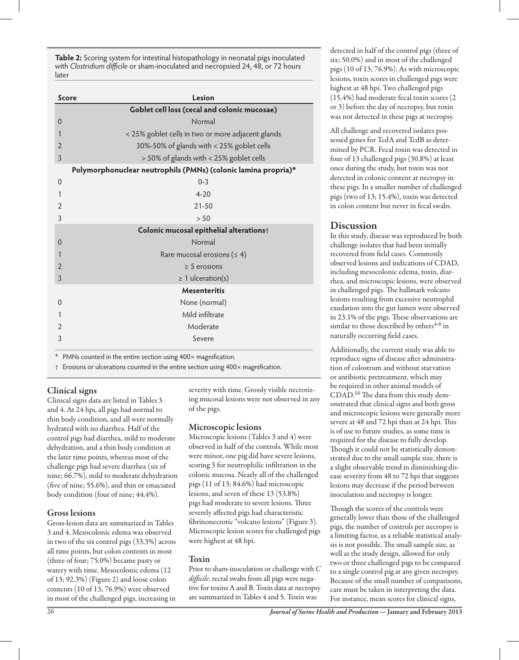**Table 2:** Scoring system for intestinal histopathology in neonatal pigs inoculated with *Clostridium difficile* or sham-inoculated and necropsied 24, 48, or 72 hours later

| <b>Score</b>   | Lesion                                                         |  |  |  |  |  |  |  |  |
|----------------|----------------------------------------------------------------|--|--|--|--|--|--|--|--|
|                | Goblet cell loss (cecal and colonic mucosae)                   |  |  |  |  |  |  |  |  |
| $\Omega$       | Normal                                                         |  |  |  |  |  |  |  |  |
| 1              | < 25% goblet cells in two or more adjacent glands              |  |  |  |  |  |  |  |  |
| $\overline{2}$ | 30%-50% of glands with < 25% goblet cells                      |  |  |  |  |  |  |  |  |
| 3              | > 50% of glands with < 25% goblet cells                        |  |  |  |  |  |  |  |  |
|                | Polymorphonuclear neutrophils (PMNs) (colonic lamina propria)* |  |  |  |  |  |  |  |  |
| $\mathbf{0}$   | $0 - 3$                                                        |  |  |  |  |  |  |  |  |
| 1              | $4 - 20$                                                       |  |  |  |  |  |  |  |  |
| $\overline{2}$ | $21 - 50$                                                      |  |  |  |  |  |  |  |  |
| 3              | > 50                                                           |  |  |  |  |  |  |  |  |
|                | Colonic mucosal epithelial alterations+                        |  |  |  |  |  |  |  |  |
| $\Omega$       | Normal                                                         |  |  |  |  |  |  |  |  |
| 1              | Rare mucosal erosions ( $\leq 4$ )                             |  |  |  |  |  |  |  |  |
| $\overline{2}$ | $\geq$ 5 erosions                                              |  |  |  |  |  |  |  |  |
| 3              | $\geq 1$ ulceration(s)                                         |  |  |  |  |  |  |  |  |
|                | <b>Mesenteritis</b>                                            |  |  |  |  |  |  |  |  |
| $\Omega$       | None (normal)                                                  |  |  |  |  |  |  |  |  |
| 1              | Mild infiltrate                                                |  |  |  |  |  |  |  |  |
| $\overline{2}$ | Moderate                                                       |  |  |  |  |  |  |  |  |
| 3              | Severe                                                         |  |  |  |  |  |  |  |  |
|                |                                                                |  |  |  |  |  |  |  |  |

\* PMNs counted in the entire section using 400× magnification.

† Erosions or ulcerations counted in the entire section using 400× magnification.

## Clinical signs

Clinical signs data are listed in Tables 3 and 4. At 24 hpi, all pigs had normal to thin body condition, and all were normally hydrated with no diarrhea. Half of the control pigs had diarrhea, mild to moderate dehydration, and a thin body condition at the later time points, whereas most of the challenge pigs had severe diarrhea (six of nine; 66.7%), mild to moderate dehydration (five of nine; 55.6%), and thin or emaciated body condition (four of nine; 44.4%).

#### Gross lesions

Gross-lesion data are summarized in Tables 3 and 4. Mesocolonic edema was observed in two of the six control pigs (33.3%) across all time points, but colon contents in most (three of four; 75.0%) became pasty or watery with time. Mesocolonic edema (12 of 13; 92.3%) (Figure 2) and loose colon contents (10 of 13; 76.9%) were observed in most of the challenged pigs, increasing in

severity with time. Grossly visible necrotizing mucosal lesions were not observed in any of the pigs.

#### Microscopic lesions

Microscopic lesions (Tables 3 and 4) were observed in half of the controls. While most were minor, one pig did have severe lesions, scoring 3 for neutrophilic infiltration in the colonic mucosa. Nearly all of the challenged pigs (11 of 13; 84.6%) had microscopic lesions, and seven of these 13 (53.8%) pigs had moderate to severe lesions. Three severely affected pigs had characteristic fibrinonecrotic "volcano lesions" (Figure 3). Microscopic lesion scores for challenged pigs were highest at 48 hpi.

#### Toxin

Prior to sham-inoculation or challenge with *C difficile*, rectal swabs from all pigs were negative for toxins A and B. Toxin data at necropsy are summarized in Tables 4 and 5. Toxin was

detected in half of the control pigs (three of six; 50.0%) and in most of the challenged pigs (10 of 13; 76.9%). As with microscopic lesions, toxin scores in challenged pigs were highest at 48 hpi. Two challenged pigs (15.4%) had moderate fecal toxin scores (2 or 3) before the day of necropsy, but toxin was not detected in these pigs at necropsy.

All challenge and recovered isolates possessed genes for TcdA and TcdB as determined by PCR. Fecal toxin was detected in four of 13 challenged pigs (30.8%) at least once during the study, but toxin was not detected in colonic content at necropsy in these pigs. In a smaller number of challenged pigs (two of 13; 15.4%), toxin was detected in colon content but never in fecal swabs.

## Discussion

In this study, disease was reproduced by both challenge isolates that had been initially recovered from field cases. Commonly observed lesions and indications of CDAD, including mesocolonic edema, toxin, diarrhea, and microscopic lesions, were observed in challenged pigs. The hallmark volcano lesions resulting from excessive neutrophil exudation into the gut lumen were observed in 23.1% of the pigs. These observations are similar to those described by others<sup>4-6</sup> in naturally occurring field cases.

Additionally, the current study was able to reproduce signs of disease after administration of colostrum and without starvation or antibiotic pretreatment, which may be required in other animal models of CDAD.16 The data from this study demonstrated that clinical signs and both gross and microscopic lesions were generally more severe at 48 and 72 hpi than at 24 hpi. This is of use to future studies, as some time is required for the disease to fully develop. Though it could not be statistically demonstrated due to the small sample size, there is a slight observable trend in diminishing disease severity from 48 to 72 hpi that suggests lesions may decrease if the period between inoculation and necropsy is longer.

Though the scores of the controls were generally lower than those of the challenged pigs, the number of controls per necropsy is a limiting factor, as a reliable statistical analysis is not possible. The small sample size, as well as the study design, allowed for only two or three challenged pigs to be compared to a single control pig at any given necropsy. Because of the small number of comparisons, care must be taken in interpreting the data. For instance, mean scores for clinical signs,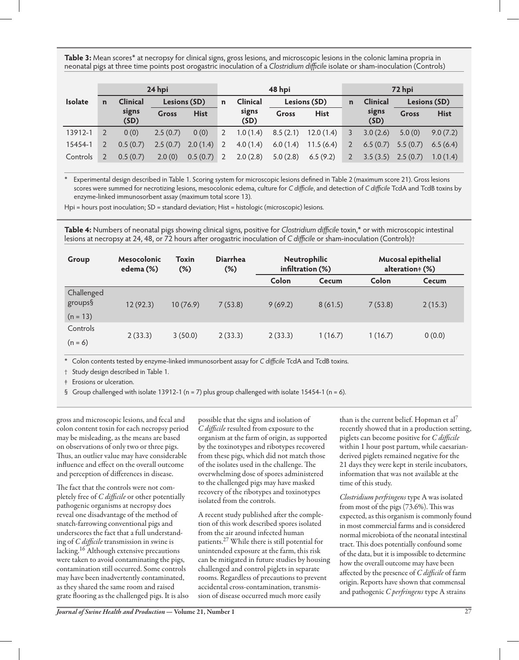**Table 3:** Mean scores\* at necropsy for clinical signs, gross lesions, and microscopic lesions in the colonic lamina propria in neonatal pigs at three time points post orogastric inoculation of a *Clostridium difficile* isolate or sham-inoculation (Controls)

|                | 24 hpi         |                 |              |             | 48 hpi         |                 |              |             | 72 hpi         |                       |              |             |
|----------------|----------------|-----------------|--------------|-------------|----------------|-----------------|--------------|-------------|----------------|-----------------------|--------------|-------------|
| <b>Isolate</b> | $\mathbf n$    | <b>Clinical</b> | Lesions (SD) |             | n              | <b>Clinical</b> | Lesions (SD) |             | $\mathbf n$    | <b>Clinical</b>       | Lesions (SD) |             |
|                |                | signs<br>(SD)   | <b>Gross</b> | <b>Hist</b> |                | signs<br>(SD)   | Gross        | <b>Hist</b> |                | signs<br>(SD)         | <b>Gross</b> | <b>Hist</b> |
| 13912-1        |                | 0(0)            | 2.5(0.7)     | 0(0)        | $\overline{2}$ | 1.0(1.4)        | 8.5(2.1)     | 12.0(1.4)   | 3              | 3.0(2.6)              | 5.0(0)       | 9.0(7.2)    |
| 15454-1        | $\overline{2}$ | 0.5(0.7)        | 2.5(0.7)     | 2.0(1.4)    | 2              | 4.0(1.4)        | 6.0(1.4)     | 11.5(6.4)   | $\overline{2}$ | 6.5(0.7)              | 5.5(0.7)     | 6.5(6.4)    |
| Controls       | 2              | 0.5(0.7)        | 2.0(0)       | 0.5(0.7)    | 2              | 2.0(2.8)        | 5.0(2.8)     | 6.5(9.2)    | $\overline{2}$ | $3.5(3.5)$ $2.5(0.7)$ |              | 1.0(1.4)    |

\* Experimental design described in Table 1. Scoring system for microscopic lesions defined in Table 2 (maximum score 21). Gross lesions scores were summed for necrotizing lesions, mesocolonic edema, culture for *C difficile*, and detection of *C difficile* TcdA and TcdB toxins by enzyme-linked immunosorbent assay (maximum total score 13).

Hpi = hours post inoculation; SD = standard deviation; Hist = histologic (microscopic) lesions.

**Table 4:** Numbers of neonatal pigs showing clinical signs, positive for *Clostridium difficile* toxin,\* or with microscopic intestinal lesions at necropsy at 24, 48, or 72 hours after orogastric inoculation of *C difficile* or sham-inoculation (Controls)†

| Group                               | <b>Mesocolonic</b><br>edema (%) | <b>Toxin</b><br>$(\%)$ | <b>Diarrhea</b><br>$(\%)$ | Neutrophilic<br>infiltration (%) |         |         | Mucosal epithelial<br>alteration + (%) |
|-------------------------------------|---------------------------------|------------------------|---------------------------|----------------------------------|---------|---------|----------------------------------------|
|                                     |                                 |                        |                           | Colon                            | Cecum   | Colon   | Cecum                                  |
| Challenged<br>groups§<br>$(n = 13)$ | 12(92.3)                        | 10(76.9)               | 7(53.8)                   | 9(69.2)                          | 8(61.5) | 7(53.8) | 2(15.3)                                |
| Controls<br>$(n = 6)$               | 2(33.3)                         | 3(50.0)                | 2(33.3)                   | 2(33.3)                          | 1(16.7) | 1(16.7) | 0(0.0)                                 |

\* Colon contents tested by enzyme-linked immunosorbent assay for *C difficile* TcdA and TcdB toxins.

† Study design described in Table 1.

‡ Erosions or ulceration.

§ Group challenged with isolate 13912-1 ( $n = 7$ ) plus group challenged with isolate 15454-1 ( $n = 6$ ).

gross and microscopic lesions, and fecal and colon content toxin for each necropsy period may be misleading, as the means are based on observations of only two or three pigs. Thus, an outlier value may have considerable influence and effect on the overall outcome and perception of differences in disease.

The fact that the controls were not completely free of *C difficile* or other potentially pathogenic organisms at necropsy does reveal one disadvantage of the method of snatch-farrowing conventional pigs and underscores the fact that a full understanding of *C difficile* transmission in swine is lacking.16 Although extensive precautions were taken to avoid contaminating the pigs, contamination still occurred. Some controls may have been inadvertently contaminated, as they shared the same room and raised grate flooring as the challenged pigs. It is also possible that the signs and isolation of *C difficile* resulted from exposure to the organism at the farm of origin, as supported by the toxinotypes and ribotypes recovered from these pigs, which did not match those of the isolates used in the challenge. The overwhelming dose of spores administered to the challenged pigs may have masked recovery of the ribotypes and toxinotypes isolated from the controls.

A recent study published after the completion of this work described spores isolated from the air around infected human patients.27 While there is still potential for unintended exposure at the farm, this risk can be mitigated in future studies by housing challenged and control piglets in separate rooms. Regardless of precautions to prevent accidental cross-contamination, transmission of disease occurred much more easily

than is the current belief. Hopman et al<sup>7</sup> recently showed that in a production setting, piglets can become positive for *C difficile* within 1 hour post partum, while caesarianderived piglets remained negative for the 21 days they were kept in sterile incubators, information that was not available at the time of this study.

*Clostridium perfringens* type A was isolated from most of the pigs (73.6%). This was expected, as this organism is commonly found in most commercial farms and is considered normal microbiota of the neonatal intestinal tract. This does potentially confound some of the data, but it is impossible to determine how the overall outcome may have been affected by the presence of *C difficile* of farm origin. Reports have shown that commensal and pathogenic *C perfringens* type A strains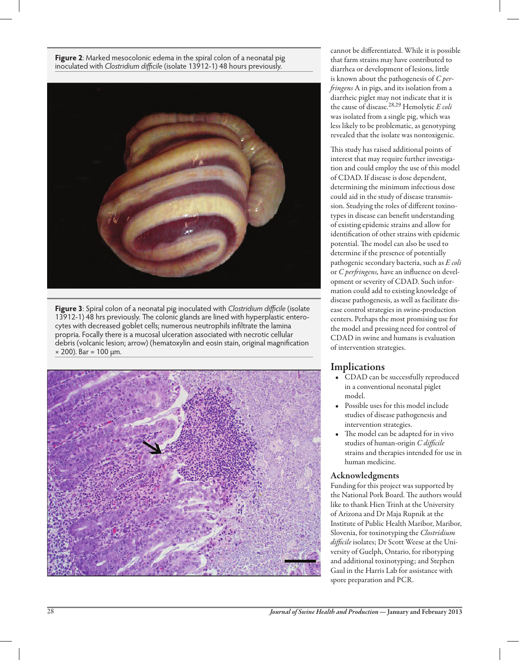**Figure 2**: Marked mesocolonic edema in the spiral colon of a neonatal pig inoculated with *Clostridium difficile* (isolate 13912-1) 48 hours previously.



**Figure 3**: Spiral colon of a neonatal pig inoculated with *Clostridium difficile* (isolate 13912-1) 48 hrs previously. The colonic glands are lined with hyperplastic enterocytes with decreased goblet cells; numerous neutrophils infiltrate the lamina propria. Focally there is a mucosal ulceration associated with necrotic cellular debris (volcanic lesion; arrow) (hematoxylin and eosin stain, original magnification × 200). Bar = 100 μm.



cannot be differentiated. While it is possible that farm strains may have contributed to diarrhea or development of lesions, little is known about the pathogenesis of *C perfringens* A in pigs, and its isolation from a diarrheic piglet may not indicate that it is the cause of disease.28,29 Hemolytic *E coli* was isolated from a single pig, which was less likely to be problematic, as genotyping revealed that the isolate was nontoxigenic.

This study has raised additional points of interest that may require further investigation and could employ the use of this model of CDAD. If disease is dose dependent, determining the minimum infectious dose could aid in the study of disease transmission. Studying the roles of different toxinotypes in disease can benefit understanding of existing epidemic strains and allow for identification of other strains with epidemic potential. The model can also be used to determine if the presence of potentially pathogenic secondary bacteria, such as *E coli* or *C perfringens,* have an influence on development or severity of CDAD. Such information could add to existing knowledge of disease pathogenesis, as well as facilitate disease control strategies in swine-production centers. Perhaps the most promising use for the model and pressing need for control of CDAD in swine and humans is evaluation of intervention strategies.

## Implications

- CDAD can be successfully reproduced in a conventional neonatal piglet model.
- • Possible uses for this model include studies of disease pathogenesis and intervention strategies.
- • The model can be adapted for in vivo studies of human-origin *C difficile* strains and therapies intended for use in human medicine.

#### Acknowledgments

Funding for this project was supported by the National Pork Board. The authors would like to thank Hien Trinh at the University of Arizona and Dr Maja Rupnik at the Institute of Public Health Maribor, Maribor, Slovenia, for toxinotyping the *Clostridium difficile* isolates; Dr Scott Weese at the University of Guelph, Ontario, for ribotyping and additional toxinotyping; and Stephen Gaul in the Harris Lab for assistance with spore preparation and PCR.